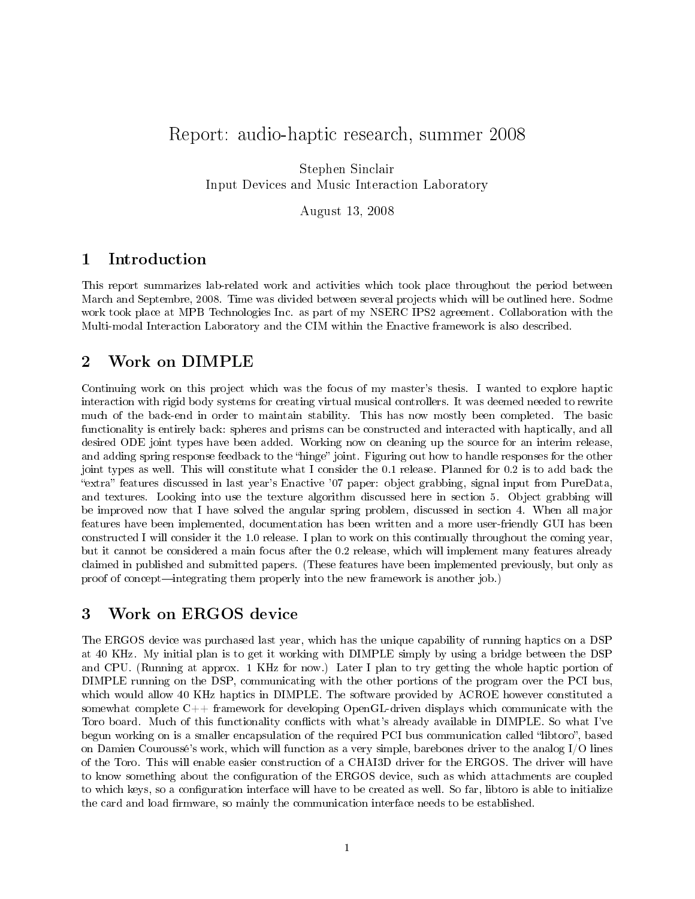# Report: audio-haptic research, summer 2008

Stephen Sinclair Input Devices and Music Interaction Laboratory

August 13, 2008

#### 1 Introduction

This report summarizes lab-related work and activities which took place throughout the period between March and Septembre, 2008. Time was divided between several projects which will be outlined here. Sodme work took place at MPB Technologies Inc. as part of my NSERC IPS2 agreement. Collaboration with the Multi-modal Interaction Laboratory and the CIM within the Enactive framework is also described.

### 2 Work on DIMPLE

Continuing work on this project which was the focus of my master's thesis. I wanted to explore haptic interaction with rigid body systems for creating virtual musical controllers. It was deemed needed to rewrite much of the back-end in order to maintain stability. This has now mostly been completed. The basic functionality is entirely back: spheres and prisms can be constructed and interacted with haptically, and all desired ODE joint types have been added. Working now on cleaning up the source for an interim release, and adding spring response feedback to the "hinge" joint. Figuring out how to handle responses for the other joint types as well. This will constitute what I consider the 0.1 release. Planned for 0.2 is to add back the extra features discussed in last year's Enactive '07 paper: object grabbing, signal input from PureData, and textures. Looking into use the texture algorithm discussed here in section 5. Object grabbing will be improved now that I have solved the angular spring problem, discussed in section 4. When all major features have been implemented, documentation has been written and a more user-friendly GUI has been constructed I will consider it the 1.0 release. I plan to work on this continually throughout the coming year, but it cannot be considered a main focus after the 0.2 release, which will implement many features already claimed in published and submitted papers. (These features have been implemented previously, but only as proof of concept—integrating them properly into the new framework is another job.)

## 3 Work on ERGOS device

The ERGOS device was purchased last year, which has the unique capability of running haptics on a DSP at 40 KHz. My initial plan is to get it working with DIMPLE simply by using a bridge between the DSP and CPU. (Running at approx. 1 KHz for now.) Later I plan to try getting the whole haptic portion of DIMPLE running on the DSP, communicating with the other portions of the program over the PCI bus, which would allow 40 KHz haptics in DIMPLE. The software provided by ACROE however constituted a somewhat complete  $C++$  framework for developing OpenGL-driven displays which communicate with the Toro board. Much of this functionality conflicts with what's already available in DIMPLE. So what I've begun working on is a smaller encapsulation of the required PCI bus communication called "libtoro", based on Damien Couroussé's work, which will function as a very simple, barebones driver to the analog I/O lines of the Toro. This will enable easier construction of a CHAI3D driver for the ERGOS. The driver will have to know something about the configuration of the ERGOS device, such as which attachments are coupled to which keys, so a configuration interface will have to be created as well. So far, libtoro is able to initialize the card and load firmware, so mainly the communication interface needs to be established.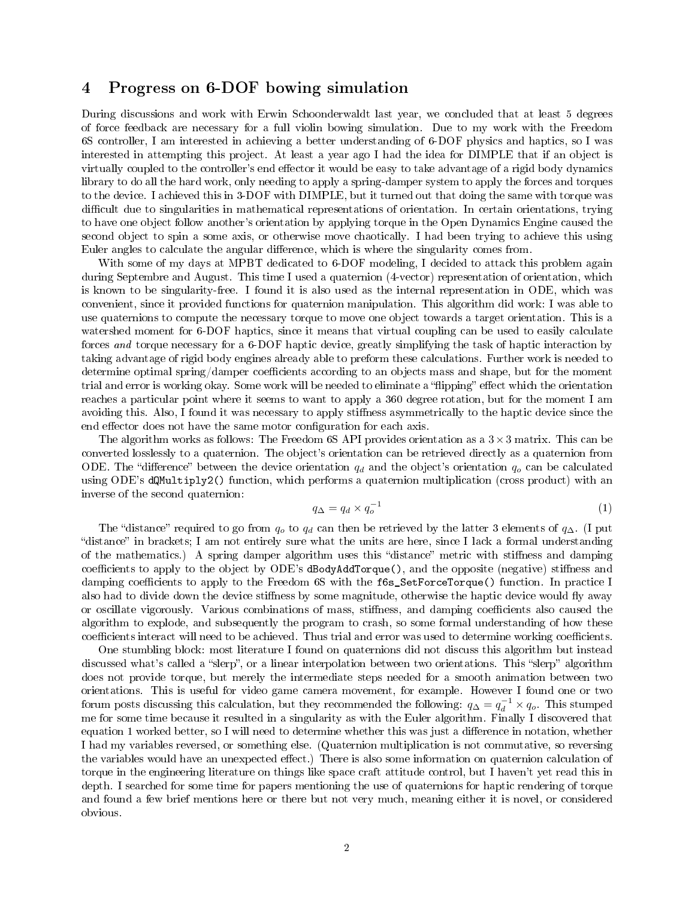#### 4 Progress on 6-DOF bowing simulation

During discussions and work with Erwin Schoonderwaldt last year, we concluded that at least 5 degrees of force feedback are necessary for a full violin bowing simulation. Due to my work with the Freedom 6S controller, I am interested in achieving a better understanding of 6-DOF physics and haptics, so I was interested in attempting this project. At least a year ago I had the idea for DIMPLE that if an object is virtually coupled to the controller's end effector it would be easy to take advantage of a rigid body dynamics library to do all the hard work, only needing to apply a spring-damper system to apply the forces and torques to the device. I achieved this in 3-DOF with DIMPLE, but it turned out that doing the same with torque was difficult due to singularities in mathematical representations of orientation. In certain orientations, trying to have one object follow another's orientation by applying torque in the Open Dynamics Engine caused the second object to spin a some axis, or otherwise move chaotically. I had been trying to achieve this using Euler angles to calculate the angular difference, which is where the singularity comes from.

With some of my days at MPBT dedicated to 6-DOF modeling, I decided to attack this problem again during Septembre and August. This time I used a quaternion (4-vector) representation of orientation, which is known to be singularity-free. I found it is also used as the internal representation in ODE, which was convenient, since it provided functions for quaternion manipulation. This algorithm did work: I was able to use quaternions to compute the necessary torque to move one object towards a target orientation. This is a watershed moment for 6-DOF haptics, since it means that virtual coupling can be used to easily calculate forces and torque necessary for a 6-DOF haptic device, greatly simplifying the task of haptic interaction by taking advantage of rigid body engines already able to preform these calculations. Further work is needed to determine optimal spring/damper coefficients according to an objects mass and shape, but for the moment trial and error is working okay. Some work will be needed to eliminate a "flipping" effect which the orientation reaches a particular point where it seems to want to apply a 360 degree rotation, but for the moment I am avoiding this. Also, I found it was necessary to apply stiffness asymmetrically to the haptic device since the end effector does not have the same motor configuration for each axis.

The algorithm works as follows: The Freedom 6S API provides orientation as a  $3 \times 3$  matrix. This can be converted losslessly to a quaternion. The object's orientation can be retrieved directly as a quaternion from ODE. The "difference" between the device orientation  $q_d$  and the object's orientation  $q_o$  can be calculated using ODE's dQMultiply2() function, which performs a quaternion multiplication (cross product) with an inverse of the second quaternion:

$$
q_{\Delta} = q_d \times q_o^{-1} \tag{1}
$$

The "distance" required to go from  $q_o$  to  $q_d$  can then be retrieved by the latter 3 elements of  $q_\Delta$ . (I put "distance" in brackets; I am not entirely sure what the units are here, since I lack a formal understanding of the mathematics.) A spring damper algorithm uses this "distance" metric with stiffness and damping coefficients to apply to the object by ODE's dBodyAddTorque(), and the opposite (negative) stiffness and damping coefficients to apply to the Freedom 6S with the f6s\_SetForceTorque() function. In practice I also had to divide down the device stiffness by some magnitude, otherwise the haptic device would fly away or oscillate vigorously. Various combinations of mass, stiffness, and damping coefficients also caused the algorithm to explode, and subsequently the program to crash, so some formal understanding of how these coefficients interact will need to be achieved. Thus trial and error was used to determine working coefficients.

One stumbling block: most literature I found on quaternions did not discuss this algorithm but instead discussed what's called a "slerp", or a linear interpolation between two orientations. This "slerp" algorithm does not provide torque, but merely the intermediate steps needed for a smooth animation between two orientations. This is useful for video game camera movement, for example. However I found one or two forum posts discussing this calculation, but they recommended the following:  $q_{\Delta} = q_d^{-1} \times q_o$ . This stumped me for some time because it resulted in a singularity as with the Euler algorithm. Finally I discovered that equation 1 worked better, so I will need to determine whether this was just a difference in notation, whether I had my variables reversed, or something else. (Quaternion multiplication is not commutative, so reversing the variables would have an unexpected effect.) There is also some information on quaternion calculation of torque in the engineering literature on things like space craft attitude control, but I haven't yet read this in depth. I searched for some time for papers mentioning the use of quaternions for haptic rendering of torque and found a few brief mentions here or there but not very much, meaning either it is novel, or considered obvious.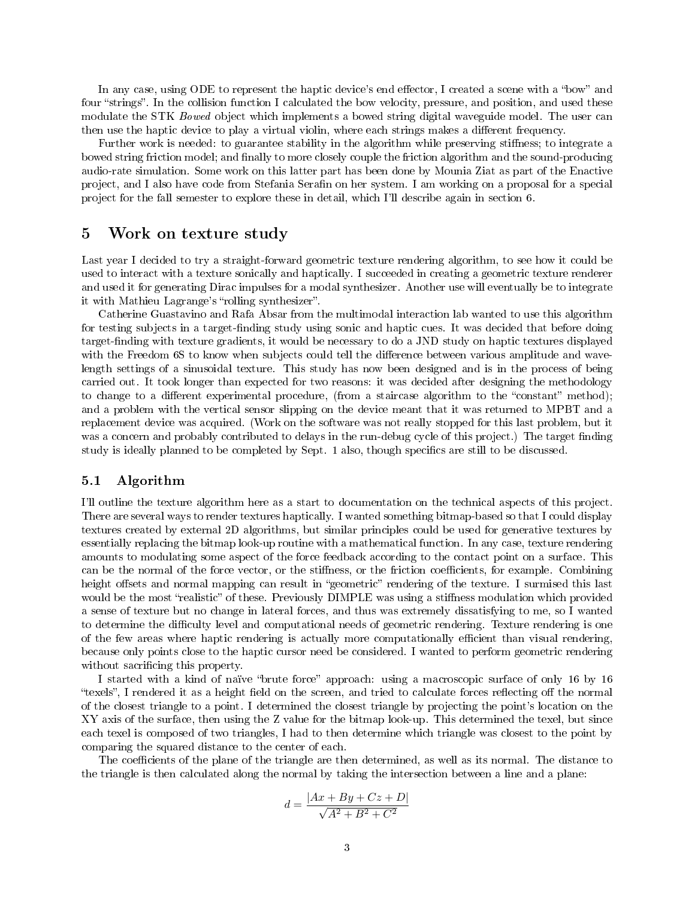In any case, using ODE to represent the haptic device's end effector, I created a scene with a "bow" and four "strings". In the collision function I calculated the bow velocity, pressure, and position, and used these modulate the STK *Bowed* object which implements a bowed string digital waveguide model. The user can then use the haptic device to play a virtual violin, where each strings makes a different frequency.

Further work is needed: to guarantee stability in the algorithm while preserving stiffness; to integrate a bowed string friction model; and finally to more closely couple the friction algorithm and the sound-producing audio-rate simulation. Some work on this latter part has been done by Mounia Ziat as part of the Enactive project, and I also have code from Stefania Serafin on her system. I am working on a proposal for a special project for the fall semester to explore these in detail, which I'll describe again in section 6.

#### 5 Work on texture study

Last year I decided to try a straight-forward geometric texture rendering algorithm, to see how it could be used to interact with a texture sonically and haptically. I succeeded in creating a geometric texture renderer and used it for generating Dirac impulses for a modal synthesizer. Another use will eventually be to integrate it with Mathieu Lagrange's "rolling synthesizer".

Catherine Guastavino and Rafa Absar from the multimodal interaction lab wanted to use this algorithm for testing subjects in a target-finding study using sonic and haptic cues. It was decided that before doing target-finding with texture gradients, it would be necessary to do a JND study on haptic textures displayed with the Freedom 6S to know when subjects could tell the difference between various amplitude and wavelength settings of a sinusoidal texture. This study has now been designed and is in the process of being carried out. It took longer than expected for two reasons: it was decided after designing the methodology to change to a different experimental procedure, (from a staircase algorithm to the "constant" method); and a problem with the vertical sensor slipping on the device meant that it was returned to MPBT and a replacement device was acquired. (Work on the software was not really stopped for this last problem, but it was a concern and probably contributed to delays in the run-debug cycle of this project.) The target finding study is ideally planned to be completed by Sept. 1 also, though specifics are still to be discussed.

#### 5.1 Algorithm

I'll outline the texture algorithm here as a start to documentation on the technical aspects of this project. There are several ways to render textures haptically. I wanted something bitmap-based so that I could display textures created by external 2D algorithms, but similar principles could be used for generative textures by essentially replacing the bitmap look-up routine with a mathematical function. In any case, texture rendering amounts to modulating some aspect of the force feedback according to the contact point on a surface. This can be the normal of the force vector, or the stiffness, or the friction coefficients, for example. Combining height offsets and normal mapping can result in "geometric" rendering of the texture. I surmised this last would be the most "realistic" of these. Previously DIMPLE was using a stiffness modulation which provided a sense of texture but no change in lateral forces, and thus was extremely dissatisfying to me, so I wanted to determine the difficulty level and computational needs of geometric rendering. Texture rendering is one of the few areas where haptic rendering is actually more computationally efficient than visual rendering, because only points close to the haptic cursor need be considered. I wanted to perform geometric rendering without sacrificing this property.

I started with a kind of naïve "brute force" approach: using a macroscopic surface of only 16 by 16 "texels", I rendered it as a height field on the screen, and tried to calculate forces reflecting off the normal of the closest triangle to a point. I determined the closest triangle by projecting the point's location on the XY axis of the surface, then using the Z value for the bitmap look-up. This determined the texel, but since each texel is composed of two triangles, I had to then determine which triangle was closest to the point by comparing the squared distance to the center of each.

The coefficients of the plane of the triangle are then determined, as well as its normal. The distance to the triangle is then calculated along the normal by taking the intersection between a line and a plane:

$$
d = \frac{|Ax + By + Cz + D|}{\sqrt{A^2 + B^2 + C^2}}
$$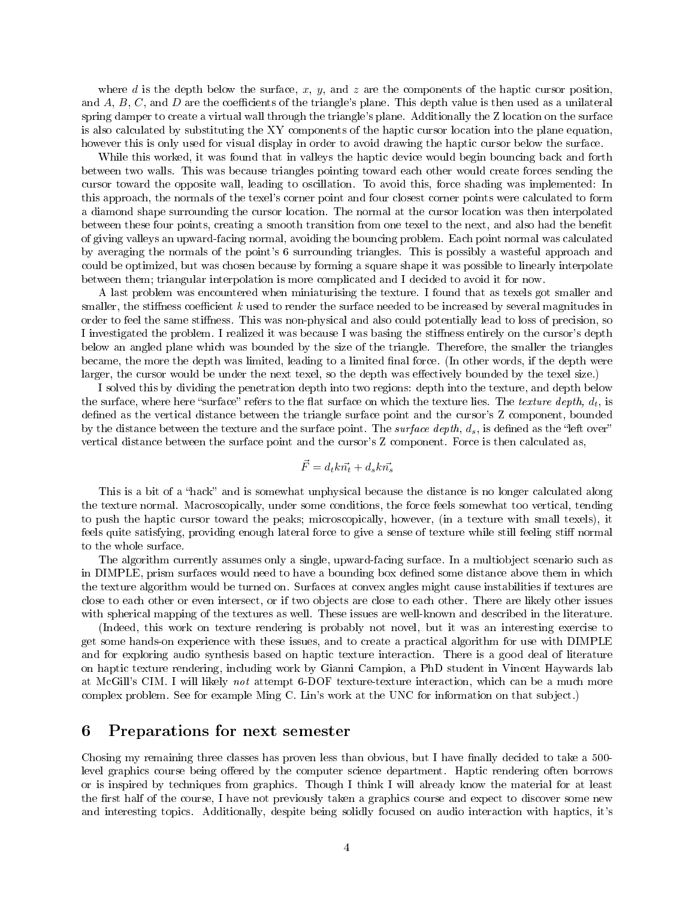where d is the depth below the surface, x, y, and z are the components of the haptic cursor position. and  $A, B, C$ , and  $D$  are the coefficients of the triangle's plane. This depth value is then used as a unilateral spring damper to create a virtual wall through the triangle's plane. Additionally the Z location on the surface is also calculated by substituting the XY components of the haptic cursor location into the plane equation, however this is only used for visual display in order to avoid drawing the haptic cursor below the surface.

While this worked, it was found that in valleys the haptic device would begin bouncing back and forth between two walls. This was because triangles pointing toward each other would create forces sending the cursor toward the opposite wall, leading to oscillation. To avoid this, force shading was implemented: In this approach, the normals of the texel's corner point and four closest corner points were calculated to form a diamond shape surrounding the cursor location. The normal at the cursor location was then interpolated between these four points, creating a smooth transition from one texel to the next, and also had the benet of giving valleys an upward-facing normal, avoiding the bouncing problem. Each point normal was calculated by averaging the normals of the point's 6 surrounding triangles. This is possibly a wasteful approach and could be optimized, but was chosen because by forming a square shape it was possible to linearly interpolate between them; triangular interpolation is more complicated and I decided to avoid it for now.

A last problem was encountered when miniaturising the texture. I found that as texels got smaller and smaller, the stiffness coefficient  $k$  used to render the surface needed to be increased by several magnitudes in order to feel the same stiffness. This was non-physical and also could potentially lead to loss of precision, so I investigated the problem. I realized it was because I was basing the stiffness entirely on the cursor's depth below an angled plane which was bounded by the size of the triangle. Therefore, the smaller the triangles became, the more the depth was limited, leading to a limited final force. (In other words, if the depth were larger, the cursor would be under the next texel, so the depth was effectively bounded by the texel size.)

I solved this by dividing the penetration depth into two regions: depth into the texture, and depth below the surface, where here "surface" refers to the flat surface on which the texture lies. The texture depth,  $d_t$ , is defined as the vertical distance between the triangle surface point and the cursor's Z component, bounded by the distance between the texture and the surface point. The *surface depth*,  $d_s$ , is defined as the "left over" vertical distance between the surface point and the cursor's Z component. Force is then calculated as,

$$
\vec{F}=d_t k \vec{n_t}+d_s k \vec{n_s}
$$

This is a bit of a "hack" and is somewhat unphysical because the distance is no longer calculated along the texture normal. Macroscopically, under some conditions, the force feels somewhat too vertical, tending to push the haptic cursor toward the peaks; microscopically, however, (in a texture with small texels), it feels quite satisfying, providing enough lateral force to give a sense of texture while still feeling stiff normal to the whole surface.

The algorithm currently assumes only a single, upward-facing surface. In a multiobject scenario such as in DIMPLE, prism surfaces would need to have a bounding box defined some distance above them in which the texture algorithm would be turned on. Surfaces at convex angles might cause instabilities if textures are close to each other or even intersect, or if two objects are close to each other. There are likely other issues with spherical mapping of the textures as well. These issues are well-known and described in the literature.

(Indeed, this work on texture rendering is probably not novel, but it was an interesting exercise to get some hands-on experience with these issues, and to create a practical algorithm for use with DIMPLE and for exploring audio synthesis based on haptic texture interaction. There is a good deal of literature on haptic texture rendering, including work by Gianni Campion, a PhD student in Vincent Haywards lab at McGill's CIM. I will likely not attempt 6-DOF texture-texture interaction, which can be a much more complex problem. See for example Ming C. Lin's work at the UNC for information on that subject.)

#### 6 Preparations for next semester

Chosing my remaining three classes has proven less than obvious, but I have finally decided to take a 500level graphics course being offered by the computer science department. Haptic rendering often borrows or is inspired by techniques from graphics. Though I think I will already know the material for at least the first half of the course, I have not previously taken a graphics course and expect to discover some new and interesting topics. Additionally, despite being solidly focused on audio interaction with haptics, it's